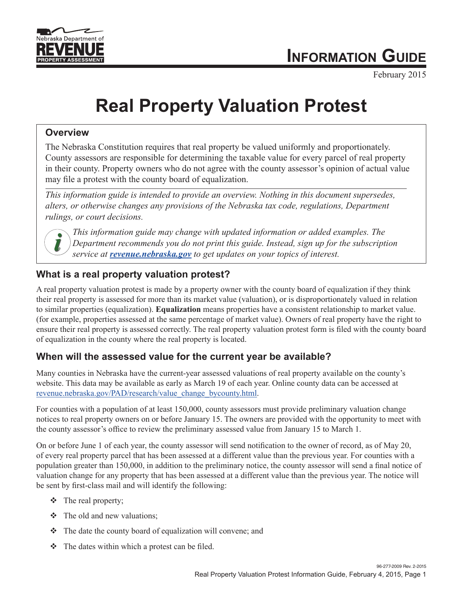

February 2015

# **Real Property Valuation Protest**

## **Overview**

The Nebraska Constitution requires that real property be valued uniformly and proportionately. County assessors are responsible for determining the taxable value for every parcel of real property in their county. Property owners who do not agree with the county assessor's opinion of actual value may file a protest with the county board of equalization.

*This information guide is intended to provide an overview. Nothing in this document supersedes, alters, or otherwise changes any provisions of the Nebraska tax code, regulations, Department rulings, or court decisions.*



*This information guide may change with updated information or added examples. The Department recommends you do not print this guide. Instead, sign up for the subscription service at [revenue.nebraska.gov](http://www.revenue.nebraska.gov/index.html) to get updates on your topics of interest.*

# **What is a real property valuation protest?**

A real property valuation protest is made by a property owner with the county board of equalization if they think their real property is assessed for more than its market value (valuation), or is disproportionately valued in relation to similar properties (equalization). **Equalization** means properties have a consistent relationship to market value. (for example, properties assessed at the same percentage of market value). Owners of real property have the right to ensure their real property is assessed correctly. The real property valuation protest form is filed with the county board of equalization in the county where the real property is located.

## **When will the assessed value for the current year be available?**

Many counties in Nebraska have the current-year assessed valuations of real property available on the county's website. This data may be available as early as March 19 of each year. Online county data can be accessed at [revenue.nebraska.gov/PAD/research/value\\_change\\_bycounty.html.](http://www.revenue.nebraska.gov/PAD/research/value_change_bycounty.html) 

For counties with a population of at least 150,000, county assessors must provide preliminary valuation change notices to real property owners on or before January 15. The owners are provided with the opportunity to meet with the county assessor's office to review the preliminary assessed value from January 15 to March 1.

On or before June 1 of each year, the county assessor will send notification to the owner of record, as of May 20, of every real property parcel that has been assessed at a different value than the previous year. For counties with a population greater than 150,000, in addition to the preliminary notice, the county assessor will send a final notice of valuation change for any property that has been assessed at a different value than the previous year. The notice will be sent by first-class mail and will identify the following:

- $\div$  The real property;
- $\div$  The old and new valuations;
- $\cdot \cdot$  The date the county board of equalization will convene; and
- $\bullet$  The dates within which a protest can be filed.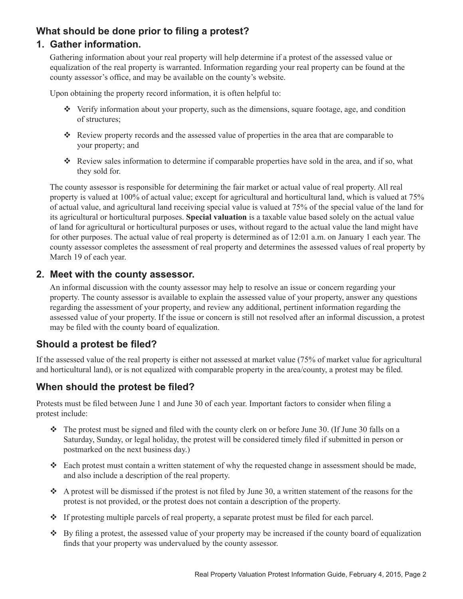## **What should be done prior to filing a protest?**

#### **1. Gather information.**

Gathering information about your real property will help determine if a protest of the assessed value or equalization of the real property is warranted. Information regarding your real property can be found at the county assessor's office, and may be available on the county's website.

Upon obtaining the property record information, it is often helpful to:

- $\cdot \cdot$  Verify information about your property, such as the dimensions, square footage, age, and condition of structures;
- $\cdot$  Review property records and the assessed value of properties in the area that are comparable to your property; and
- v. Review sales information to determine if comparable properties have sold in the area, and if so, what they sold for.

The county assessor is responsible for determining the fair market or actual value of real property. All real property is valued at 100% of actual value; except for agricultural and horticultural land, which is valued at 75% of actual value, and agricultural land receiving special value is valued at 75% of the special value of the land for its agricultural or horticultural purposes. **Special valuation** is a taxable value based solely on the actual value of land for agricultural or horticultural purposes or uses, without regard to the actual value the land might have for other purposes. The actual value of real property is determined as of 12:01 a.m. on January 1 each year. The county assessor completes the assessment of real property and determines the assessed values of real property by March 19 of each year.

#### **2. Meet with the county assessor.**

An informal discussion with the county assessor may help to resolve an issue or concern regarding your property. The county assessor is available to explain the assessed value of your property, answer any questions regarding the assessment of your property, and review any additional, pertinent information regarding the assessed value of your property. If the issue or concern is still not resolved after an informal discussion, a protest may be filed with the county board of equalization.

#### **Should a protest be filed?**

If the assessed value of the real property is either not assessed at market value (75% of market value for agricultural and horticultural land), or is not equalized with comparable property in the area/county, a protest may be filed.

#### **When should the protest be filed?**

Protests must be filed between June 1 and June 30 of each year. Important factors to consider when filing a protest include:

- $\cdot \cdot$  The protest must be signed and filed with the county clerk on or before June 30. (If June 30 falls on a Saturday, Sunday, or legal holiday, the protest will be considered timely filed if submitted in person or postmarked on the next business day.)
- $\cdot$  Each protest must contain a written statement of why the requested change in assessment should be made, and also include a description of the real property.
- $\bullet$  A protest will be dismissed if the protest is not filed by June 30, a written statement of the reasons for the protest is not provided, or the protest does not contain a description of the property.
- $\cdot \cdot$  If protesting multiple parcels of real property, a separate protest must be filed for each parcel.
- $\bullet$  By filing a protest, the assessed value of your property may be increased if the county board of equalization finds that your property was undervalued by the county assessor.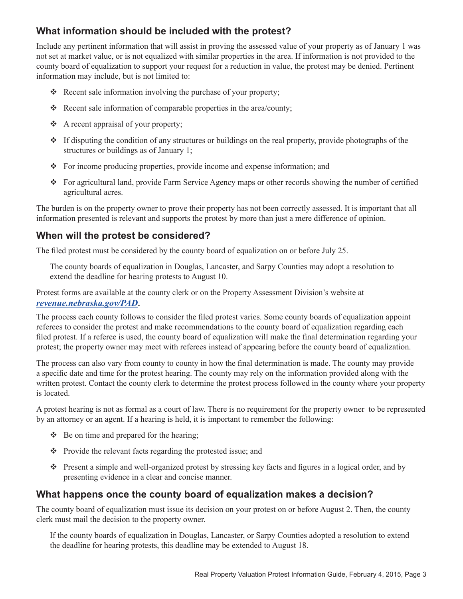## **What information should be included with the protest?**

Include any pertinent information that will assist in proving the assessed value of your property as of January 1 was not set at market value, or is not equalized with similar properties in the area. If information is not provided to the county board of equalization to support your request for a reduction in value, the protest may be denied. Pertinent information may include, but is not limited to:

- $\triangle$  Recent sale information involving the purchase of your property;
- $\triangleleft$  Recent sale information of comparable properties in the area/county;
- $\triangle$  A recent appraisal of your property;
- $\cdot \cdot$  If disputing the condition of any structures or buildings on the real property, provide photographs of the structures or buildings as of January 1;
- $\bullet$  For income producing properties, provide income and expense information; and
- v For agricultural land, provide Farm Service Agency maps or other records showing the number of certified agricultural acres.

The burden is on the property owner to prove their property has not been correctly assessed. It is important that all information presented is relevant and supports the protest by more than just a mere difference of opinion.

#### **When will the protest be considered?**

The filed protest must be considered by the county board of equalization on or before July 25.

The county boards of equalization in Douglas, Lancaster, and Sarpy Counties may adopt a resolution to extend the deadline for hearing protests to August 10.

Protest forms are available at the county clerk or on the Property Assessment Division's website at *[revenue.nebraska.gov/PAD](http://www.revenue.nebraska.gov/PAD/)***.**

The process each county follows to consider the filed protest varies. Some county boards of equalization appoint referees to consider the protest and make recommendations to the county board of equalization regarding each filed protest. If a referee is used, the county board of equalization will make the final determination regarding your protest; the property owner may meet with referees instead of appearing before the county board of equalization.

The process can also vary from county to county in how the final determination is made. The county may provide a specific date and time for the protest hearing. The county may rely on the information provided along with the written protest. Contact the county clerk to determine the protest process followed in the county where your property is located.

A protest hearing is not as formal as a court of law. There is no requirement for the property owner to be represented by an attorney or an agent. If a hearing is held, it is important to remember the following:

- $\triangleleft$  Be on time and prepared for the hearing;
- $\bullet$  Provide the relevant facts regarding the protested issue; and
- v Present a simple and well-organized protest by stressing key facts and figures in a logical order, and by presenting evidence in a clear and concise manner.

#### **What happens once the county board of equalization makes a decision?**

The county board of equalization must issue its decision on your protest on or before August 2. Then, the county clerk must mail the decision to the property owner.

If the county boards of equalization in Douglas, Lancaster, or Sarpy Counties adopted a resolution to extend the deadline for hearing protests, this deadline may be extended to August 18.